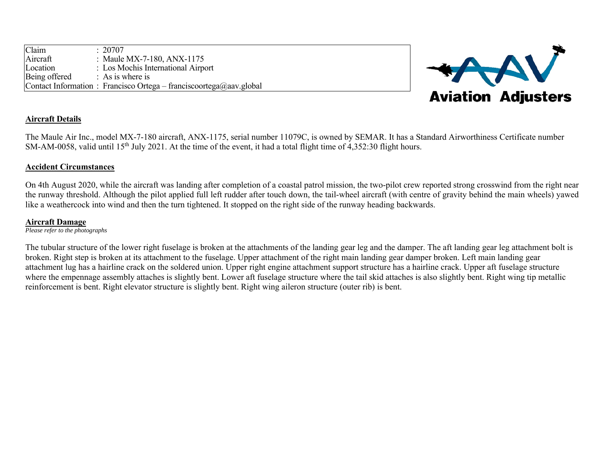| Claim         | : 20707                                                             |
|---------------|---------------------------------------------------------------------|
| Aircraft      | : Maule MX-7-180, ANX-1175                                          |
| Location      | : Los Mochis International Airport                                  |
| Being offered | $\therefore$ As is where is                                         |
|               | Contact Information : Francisco Ortega - franciscoortega@aav.global |



## **Aircraft Details**

The Maule Air Inc., model MX-7-180 aircraft, ANX-1175, serial number 11079C, is owned by SEMAR. It has a Standard Airworthiness Certificate number SM-AM-0058, valid until 15<sup>th</sup> July 2021. At the time of the event, it had a total flight time of 4,352:30 flight hours.

## **Accident Circumstances**

On 4th August 2020, while the aircraft was landing after completion of a coastal patrol mission, the two-pilot crew reported strong crosswind from the right near the runway threshold. Although the pilot applied full left rudder after touch down, the tail-wheel aircraft (with centre of gravity behind the main wheels) yawed like a weathercock into wind and then the turn tightened. It stopped on the right side of the runway heading backwards.

## **Aircraft Damage**

*Please refer to the photographs* 

The tubular structure of the lower right fuselage is broken at the attachments of the landing gear leg and the damper. The aft landing gear leg attachment bolt is broken. Right step is broken at its attachment to the fuselage. Upper attachment of the right main landing gear damper broken. Left main landing gear attachment lug has a hairline crack on the soldered union. Upper right engine attachment support structure has a hairline crack. Upper aft fuselage structure where the empennage assembly attaches is slightly bent. Lower aft fuselage structure where the tail skid attaches is also slightly bent. Right wing tip metallic reinforcement is bent. Right elevator structure is slightly bent. Right wing aileron structure (outer rib) is bent.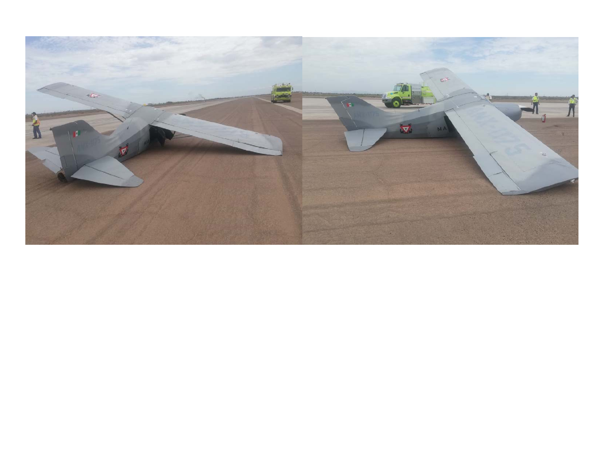